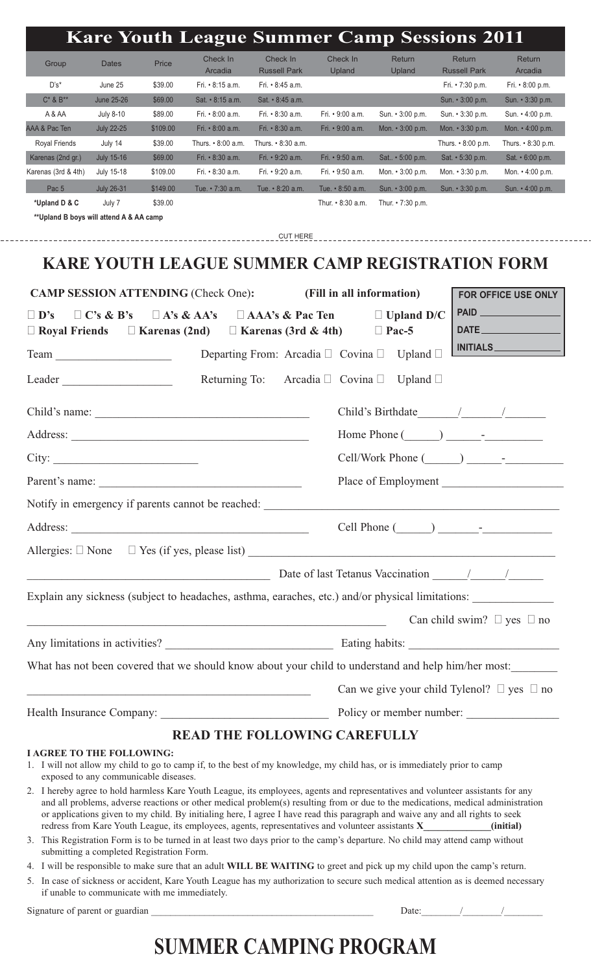|                      |                   |          | <b>Kare Youth League Summer Camp Sessions 2011</b> |                                 |                    |                         |                                      |                          |
|----------------------|-------------------|----------|----------------------------------------------------|---------------------------------|--------------------|-------------------------|--------------------------------------|--------------------------|
| Group                | <b>Dates</b>      | Price    | Check In<br>Arcadia                                | Check In<br><b>Russell Park</b> | Check In<br>Upland | <b>Return</b><br>Upland | <b>Return</b><br><b>Russell Park</b> | <b>Return</b><br>Arcadia |
| $D's^*$              | June 25           | \$39.00  | Fri. • 8:15 a.m.                                   | Fri. • 8:45 a.m.                |                    |                         | Fri. • 7:30 p.m.                     | Fri. $\cdot$ 8:00 p.m.   |
| $C^*$ & $B^{**}$     | June 25-26        | \$69.00  | Sat. • 8:15 a.m.                                   | $Sat. \cdot 8:45$ a.m.          |                    |                         | Sun. $\cdot$ 3:00 p.m.               | Sun. • 3:30 p.m.         |
| A & AA               | <b>July 8-10</b>  | \$89.00  | Fri. • 8:00 a.m.                                   | Fri. • 8:30 a.m.                | Fri. • 9:00 a.m.   | Sun. • 3:00 p.m.        | Sun. • 3:30 p.m.                     | Sun. • 4:00 p.m.         |
| AAA & Pac Ten        | <b>July 22-25</b> | \$109.00 | Fri. • 8:00 a.m.                                   | Fri. • 8:30 a.m.                | Fri. • 9:00 a.m.   | Mon. • 3:00 p.m.        | Mon. $\cdot$ 3:30 p.m.               | Mon. $\cdot$ 4:00 p.m.   |
| <b>Royal Friends</b> | July 14           | \$39.00  | Thurs. • 8:00 a.m.                                 | Thurs. $\cdot$ 8:30 a.m.        |                    |                         | Thurs. $\cdot$ 8:00 p.m.             | Thurs. $\cdot$ 8:30 p.m. |
| Karenas (2nd gr.)    | <b>July 15-16</b> | \$69.00  | Fri. • 8:30 a.m.                                   | Fri. • 9:20 a.m.                | Fri. • 9:50 a.m.   | Sat • 5:00 p.m.         | Sat. • 5:30 p.m.                     | Sat. $\cdot$ 6:00 p.m.   |
| Karenas (3rd & 4th)  | July 15-18        | \$109.00 | Fri. • 8:30 a.m.                                   | Fri. • 9:20 a.m.                | Fri. • 9:50 a.m.   | Mon. $\cdot$ 3:00 p.m.  | Mon. • 3:30 p.m.                     | Mon. $\cdot$ 4:00 p.m.   |
| Pac <sub>5</sub>     | <b>July 26-31</b> | \$149.00 | Tue. • 7:30 a.m.                                   | Tue. • 8:20 a.m.                | Tue. • 8:50 a.m.   | Sun. • 3:00 p.m.        | Sun. • 3:30 p.m.                     | Sun. • 4:00 p.m.         |
| *Upland D & C        | July 7            | \$39.00  |                                                    |                                 | Thur. • 8:30 a.m.  | Thur. $\cdot$ 7:30 p.m. |                                      |                          |

**\*\*Upland B boys will attend A & AA camp**

CUT HERE

### **KARE YOUTH LEAGUE SUMMER CAMP REGISTRATION FORM**

| <b>CAMP SESSION ATTENDING (Check One):</b>                                                                                                                                                                                                                                                                                                                                                                                    | FOR OFFICE USE ONLY                                        |  |                   |                                                      |  |  |
|-------------------------------------------------------------------------------------------------------------------------------------------------------------------------------------------------------------------------------------------------------------------------------------------------------------------------------------------------------------------------------------------------------------------------------|------------------------------------------------------------|--|-------------------|------------------------------------------------------|--|--|
| $\Box$ D's<br>$\Box C$ 's & B's                                                                                                                                                                                                                                                                                                                                                                                               | $\Box$ A's & AA's $\Box$ AAA's & Pac Ten                   |  | $\Box$ Upland D/C |                                                      |  |  |
| $\Box$ Royal Friends $\Box$ Karenas (2nd)                                                                                                                                                                                                                                                                                                                                                                                     | $\Box$ Karenas (3rd & 4th)                                 |  | $\Box$ Pac-5      | <b>DATE <i>CONTRACTER STATE</i></b>                  |  |  |
| Team                                                                                                                                                                                                                                                                                                                                                                                                                          | Departing From: Arcadia $\Box$ Covina $\Box$ Upland $\Box$ |  |                   | INITIALS                                             |  |  |
| Leader                                                                                                                                                                                                                                                                                                                                                                                                                        | Returning To: Arcadia $\Box$ Covina $\Box$                 |  | Upland $\Box$     |                                                      |  |  |
|                                                                                                                                                                                                                                                                                                                                                                                                                               |                                                            |  |                   |                                                      |  |  |
|                                                                                                                                                                                                                                                                                                                                                                                                                               |                                                            |  |                   | Home Phone $(\_\_\_\_\_\_\_$                         |  |  |
| City:                                                                                                                                                                                                                                                                                                                                                                                                                         |                                                            |  |                   | $Cell/Work$ Phone $(\_\_\_\_\_\_\_\_\$               |  |  |
| Parent's name:                                                                                                                                                                                                                                                                                                                                                                                                                |                                                            |  |                   | Place of Employment                                  |  |  |
| Notify in emergency if parents cannot be reached: Notify in emergency if parents cannot be reached:                                                                                                                                                                                                                                                                                                                           |                                                            |  |                   |                                                      |  |  |
|                                                                                                                                                                                                                                                                                                                                                                                                                               |                                                            |  |                   | $Cell$ Phone $(\_\_\_\_\_\_\_\$                      |  |  |
|                                                                                                                                                                                                                                                                                                                                                                                                                               |                                                            |  |                   |                                                      |  |  |
| $\frac{1}{2}$ Date of last Tetanus Vaccination $\frac{1}{2}$                                                                                                                                                                                                                                                                                                                                                                  |                                                            |  |                   |                                                      |  |  |
| Explain any sickness (subject to headaches, asthma, earaches, etc.) and/or physical limitations:                                                                                                                                                                                                                                                                                                                              |                                                            |  |                   |                                                      |  |  |
|                                                                                                                                                                                                                                                                                                                                                                                                                               |                                                            |  |                   | Can child swim? $\Box$ yes $\Box$ no                 |  |  |
|                                                                                                                                                                                                                                                                                                                                                                                                                               |                                                            |  |                   |                                                      |  |  |
| What has not been covered that we should know about your child to understand and help him/her most:                                                                                                                                                                                                                                                                                                                           |                                                            |  |                   |                                                      |  |  |
|                                                                                                                                                                                                                                                                                                                                                                                                                               |                                                            |  |                   | Can we give your child Tylenol? $\Box$ yes $\Box$ no |  |  |
|                                                                                                                                                                                                                                                                                                                                                                                                                               |                                                            |  |                   |                                                      |  |  |
|                                                                                                                                                                                                                                                                                                                                                                                                                               | <b>READ THE FOLLOWING CAREFULLY</b>                        |  |                   |                                                      |  |  |
| <b>LAGREE TO THE FOLLOWING:</b><br>1. I will not allow my child to go to camp if, to the best of my knowledge, my child has, or is immediately prior to camp<br>exposed to any communicable diseases.<br>$\mathbf{A}$ . There is no contributed by $\mathbf{B}$ and $\mathbf{B}$ and $\mathbf{B}$ are contributed by the contribution of the contribution of the contribution of $\mathbf{C}$ are contributed by $\mathbf{C}$ |                                                            |  |                   |                                                      |  |  |

- 2. I hereby agree to hold harmless Kare Youth League, its employees, agents and representatives and volunteer assistants for any and all problems, adverse reactions or other medical problem(s) resulting from or due to the medications, medical administration or applications given to my child. By initialing here, I agree I have read this paragraph and waive any and all rights to seek redress from Kare Youth League, its employees, agents, representatives and volunteer assistants **X\_\_\_\_\_\_\_\_\_\_\_\_\_\_(initial)**
- 3. This Registration Form is to be turned in at least two days prior to the camp's departure. No child may attend camp without submitting a completed Registration Form.
- 4. I will be responsible to make sure that an adult **WILL BE WAITING** to greet and pick up my child upon the camp's return.
- 5. In case of sickness or accident, Kare Youth League has my authorization to secure such medical attention as is deemed necessary if unable to communicate with me immediately.

Signature of parent or guardian the set of the set of parent or guardian set of the set of the set of the set of the set of the set of the set of the set of the set of the set of the set of the set of the set of the set of

# **SUMMER CAMPING PROGRAM**